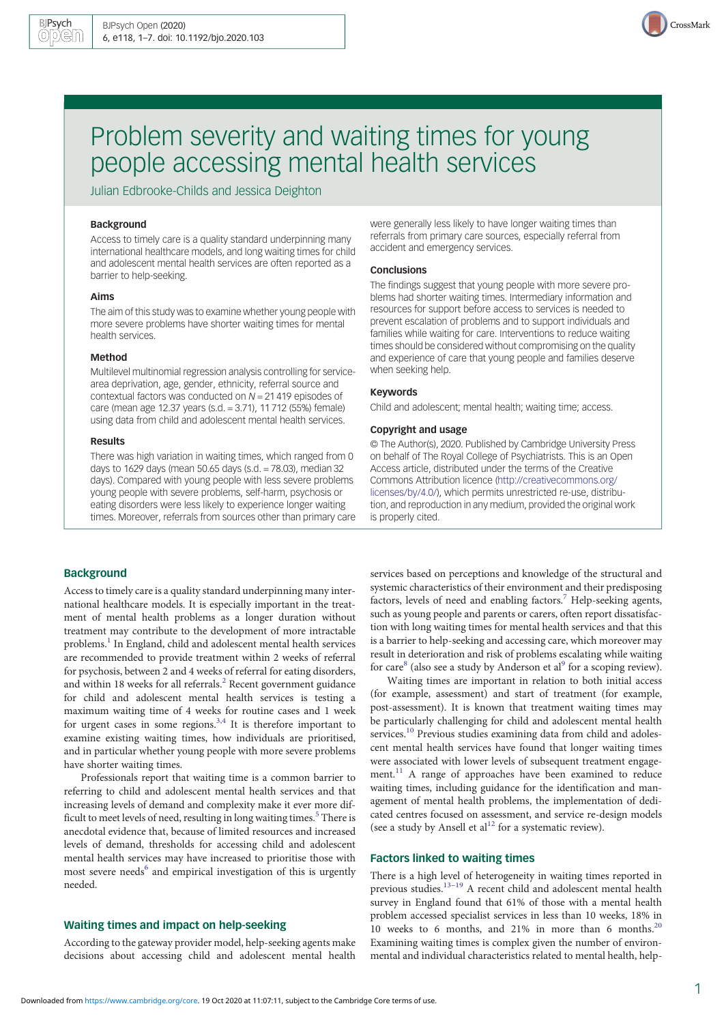

# Problem severity and waiting times for young people accessing mental health services

Julian Edbrooke-Childs and Jessica Deighton

# Background

Access to timely care is a quality standard underpinning many international healthcare models, and long waiting times for child and adolescent mental health services are often reported as a barrier to help-seeking.

#### Aims

The aim of this study was to examine whether young people with more severe problems have shorter waiting times for mental health services.

## Method

Multilevel multinomial regression analysis controlling for servicearea deprivation, age, gender, ethnicity, referral source and contextual factors was conducted on  $N = 21419$  episodes of care (mean age 12.37 years (s.d. = 3.71), 11 712 (55%) female) using data from child and adolescent mental health services.

#### Results

There was high variation in waiting times, which ranged from 0 days to 1629 days (mean 50.65 days (s.d. = 78.03), median 32 days). Compared with young people with less severe problems young people with severe problems, self-harm, psychosis or eating disorders were less likely to experience longer waiting times. Moreover, referrals from sources other than primary care were generally less likely to have longer waiting times than referrals from primary care sources, especially referral from accident and emergency services.

#### Conclusions

The findings suggest that young people with more severe problems had shorter waiting times. Intermediary information and resources for support before access to services is needed to prevent escalation of problems and to support individuals and families while waiting for care. Interventions to reduce waiting times should be considered without compromising on the quality and experience of care that young people and families deserve when seeking help.

# Keywords

Child and adolescent; mental health; waiting time; access.

## Copyright and usage

© The Author(s), 2020. Published by Cambridge University Press on behalf of The Royal College of Psychiatrists. This is an Open Access article, distributed under the terms of the Creative Commons Attribution licence [\(http://creativecommons.org/](http://creativecommons.org/licenses/by/4.0/) [licenses/by/4.0/](http://creativecommons.org/licenses/by/4.0/)), which permits unrestricted re-use, distribution, and reproduction in any medium, provided the original work is properly cited.

## **Background**

Access to timely care is a quality standard underpinning many international healthcare models. It is especially important in the treatment of mental health problems as a longer duration without treatment may contribute to the development of more intractable problems.<sup>[1](#page-5-0)</sup> In England, child and adolescent mental health services are recommended to provide treatment within 2 weeks of referral for psychosis, between 2 and 4 weeks of referral for eating disorders, and within 18 weeks for all referrals.<sup>[2](#page-5-0)</sup> Recent government guidance for child and adolescent mental health services is testing a maximum waiting time of 4 weeks for routine cases and 1 week for urgent cases in some regions.<sup>[3](#page-5-0),[4](#page-5-0)</sup> It is therefore important to examine existing waiting times, how individuals are prioritised, and in particular whether young people with more severe problems have shorter waiting times.

Professionals report that waiting time is a common barrier to referring to child and adolescent mental health services and that increasing levels of demand and complexity make it ever more dif-ficult to meet levels of need, resulting in long waiting times.<sup>[5](#page-5-0)</sup> There is anecdotal evidence that, because of limited resources and increased levels of demand, thresholds for accessing child and adolescent mental health services may have increased to prioritise those with most severe needs<sup>[6](#page-5-0)</sup> and empirical investigation of this is urgently needed.

# Waiting times and impact on help-seeking

According to the gateway provider model, help-seeking agents make decisions about accessing child and adolescent mental health

services based on perceptions and knowledge of the structural and systemic characteristics of their environment and their predisposing factors, levels of need and enabling factors.<sup>7</sup> Help-seeking agents, such as young people and parents or carers, often report dissatisfaction with long waiting times for mental health services and that this is a barrier to help-seeking and accessing care, which moreover may result in deterioration and risk of problems escalating while waiting for care<sup>[8](#page-5-0)</sup> (also see a study by Anderson et al<sup>[9](#page-5-0)</sup> for a scoping review).

Waiting times are important in relation to both initial access (for example, assessment) and start of treatment (for example, post-assessment). It is known that treatment waiting times may be particularly challenging for child and adolescent mental health services.<sup>[10](#page-5-0)</sup> Previous studies examining data from child and adolescent mental health services have found that longer waiting times were associated with lower levels of subsequent treatment engage-ment.<sup>[11](#page-5-0)</sup> A range of approaches have been examined to reduce waiting times, including guidance for the identification and management of mental health problems, the implementation of dedicated centres focused on assessment, and service re-design models (see a study by Ansell et al<sup>[12](#page-5-0)</sup> for a systematic review).

# Factors linked to waiting times

There is a high level of heterogeneity in waiting times reported in previous studies.[13](#page-5-0)–[19](#page-6-0) A recent child and adolescent mental health survey in England found that 61% of those with a mental health problem accessed specialist services in less than 10 weeks, 18% in 10 weeks to 6 months, and 21% in more than 6 months.<sup>[20](#page-6-0)</sup> Examining waiting times is complex given the number of environmental and individual characteristics related to mental health, help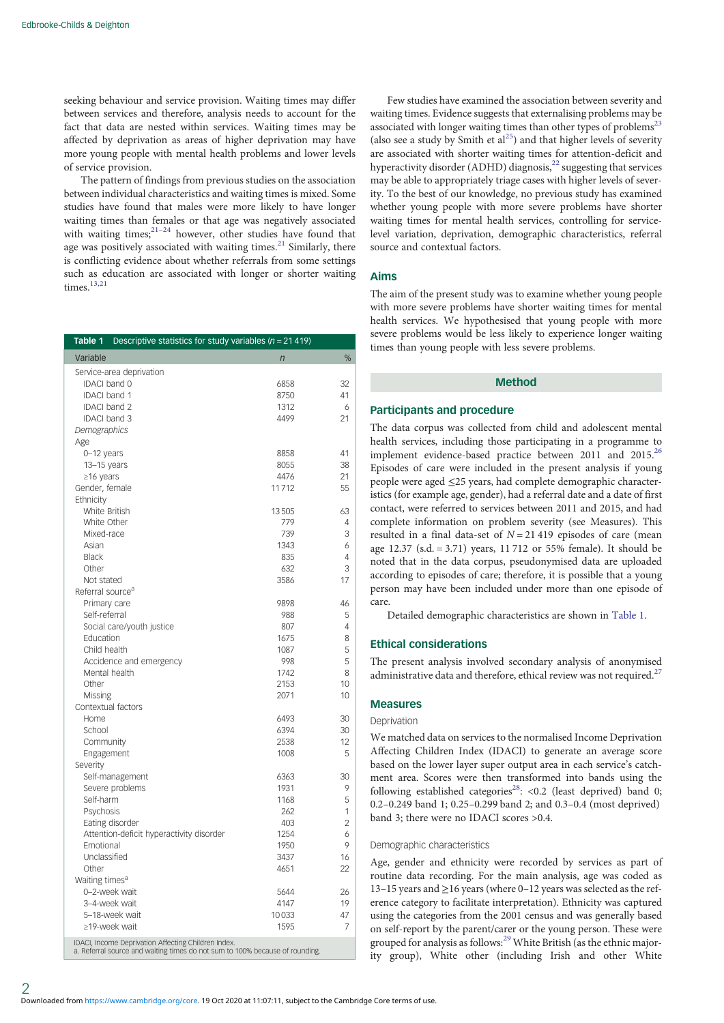<span id="page-1-0"></span>seeking behaviour and service provision. Waiting times may differ between services and therefore, analysis needs to account for the fact that data are nested within services. Waiting times may be affected by deprivation as areas of higher deprivation may have more young people with mental health problems and lower levels of service provision.

The pattern of findings from previous studies on the association between individual characteristics and waiting times is mixed. Some studies have found that males were more likely to have longer waiting times than females or that age was negatively associated with waiting times; $2^{21-24}$  $2^{21-24}$  $2^{21-24}$  $2^{21-24}$  $2^{21-24}$  however, other studies have found that age was positively associated with waiting times. $21$  Similarly, there is conflicting evidence about whether referrals from some settings such as education are associated with longer or shorter waiting times. $13,21$  $13,21$  $13,21$ 

| Table 1                      | Descriptive statistics for study variables ( $n = 21419$ )                                                                          |                |    |  |  |  |
|------------------------------|-------------------------------------------------------------------------------------------------------------------------------------|----------------|----|--|--|--|
| Variable                     |                                                                                                                                     | $\overline{n}$ | %  |  |  |  |
| Service-area deprivation     |                                                                                                                                     |                |    |  |  |  |
| <b>IDACI</b> band 0          |                                                                                                                                     | 6858           | 32 |  |  |  |
| <b>IDACI band 1</b>          |                                                                                                                                     | 8750           | 41 |  |  |  |
| <b>IDACI</b> band 2          |                                                                                                                                     | 1312           | 6  |  |  |  |
| <b>IDACI</b> band 3          |                                                                                                                                     | 4499           | 21 |  |  |  |
| Demographics                 |                                                                                                                                     |                |    |  |  |  |
| Age                          |                                                                                                                                     |                |    |  |  |  |
| 0-12 years                   |                                                                                                                                     | 8858           | 41 |  |  |  |
| 13-15 years                  |                                                                                                                                     | 8055           | 38 |  |  |  |
| ≥16 years                    |                                                                                                                                     | 4476           | 21 |  |  |  |
| Gender, female               |                                                                                                                                     | 11712          | 55 |  |  |  |
| Ethnicity                    |                                                                                                                                     |                |    |  |  |  |
| White British                |                                                                                                                                     | 13505          | 63 |  |  |  |
| White Other                  |                                                                                                                                     | 779            | 4  |  |  |  |
| Mixed-race                   |                                                                                                                                     | 739            | 3  |  |  |  |
| Asian                        |                                                                                                                                     | 1343           | 6  |  |  |  |
| <b>Black</b>                 |                                                                                                                                     | 835            | 4  |  |  |  |
| Other                        |                                                                                                                                     | 632            | 3  |  |  |  |
| Not stated                   |                                                                                                                                     | 3586           | 17 |  |  |  |
| Referral source <sup>a</sup> |                                                                                                                                     |                |    |  |  |  |
| Primary care                 |                                                                                                                                     | 9898           | 46 |  |  |  |
| Self-referral                |                                                                                                                                     | 988            | 5  |  |  |  |
|                              | Social care/youth justice                                                                                                           | 807            | 4  |  |  |  |
| Education                    |                                                                                                                                     | 1675           | 8  |  |  |  |
| Child health                 |                                                                                                                                     | 1087           | 5  |  |  |  |
|                              | Accidence and emergency                                                                                                             | 998            | 5  |  |  |  |
|                              | Mental health                                                                                                                       | 1742           | 8  |  |  |  |
| Other                        |                                                                                                                                     | 2153           | 10 |  |  |  |
| Missing                      |                                                                                                                                     | 2071           | 10 |  |  |  |
| Contextual factors           |                                                                                                                                     |                |    |  |  |  |
| Home                         |                                                                                                                                     | 6493           | 30 |  |  |  |
| School                       |                                                                                                                                     | 6394           | 30 |  |  |  |
| Community                    |                                                                                                                                     | 2538           | 12 |  |  |  |
| Engagement                   |                                                                                                                                     | 1008           | 5  |  |  |  |
| Severity                     |                                                                                                                                     |                |    |  |  |  |
|                              | Self-management                                                                                                                     | 6363           | 30 |  |  |  |
|                              | Severe problems                                                                                                                     | 1931           | 9  |  |  |  |
| Self-harm                    |                                                                                                                                     | 1168           | 5  |  |  |  |
| Psychosis                    |                                                                                                                                     | 262            | 1  |  |  |  |
|                              | Eating disorder                                                                                                                     | 403            | 2  |  |  |  |
|                              | Attention-deficit hyperactivity disorder                                                                                            | 1254           | 6  |  |  |  |
| Emotional                    |                                                                                                                                     | 1950           | 9  |  |  |  |
| Unclassified                 |                                                                                                                                     | 3437           | 16 |  |  |  |
| Other                        |                                                                                                                                     | 4651           | 22 |  |  |  |
| Waiting times <sup>a</sup>   |                                                                                                                                     |                |    |  |  |  |
|                              | 0-2-week wait                                                                                                                       | 5644           | 26 |  |  |  |
|                              | 3-4-week wait                                                                                                                       | 4147           | 19 |  |  |  |
|                              | 5-18-week wait<br>10033                                                                                                             |                |    |  |  |  |
|                              | ≥19-week wait                                                                                                                       | 1595           | 7  |  |  |  |
|                              | IDACI, Income Deprivation Affecting Children Index.<br>a. Referral source and waiting times do not sum to 100% because of rounding. |                |    |  |  |  |

Few studies have examined the association between severity and waiting times. Evidence suggests that externalising problems may be associated with longer waiting times than other types of problems<sup>23</sup> (also see a study by Smith et  $al^{25}$  $al^{25}$  $al^{25}$ ) and that higher levels of severity are associated with shorter waiting times for attention-deficit and hyperactivity disorder (ADHD) diagnosis, $^{22}$  $^{22}$  $^{22}$  suggesting that services may be able to appropriately triage cases with higher levels of severity. To the best of our knowledge, no previous study has examined whether young people with more severe problems have shorter waiting times for mental health services, controlling for servicelevel variation, deprivation, demographic characteristics, referral source and contextual factors.

# Aims

The aim of the present study was to examine whether young people with more severe problems have shorter waiting times for mental health services. We hypothesised that young people with more severe problems would be less likely to experience longer waiting times than young people with less severe problems.

# Method

## Participants and procedure

The data corpus was collected from child and adolescent mental health services, including those participating in a programme to implement evidence-based practice between 2011 and 2015.<sup>[26](#page-6-0)</sup> Episodes of care were included in the present analysis if young people were aged ≤25 years, had complete demographic characteristics (for example age, gender), had a referral date and a date of first contact, were referred to services between 2011 and 2015, and had complete information on problem severity (see Measures). This resulted in a final data-set of  $N = 21419$  episodes of care (mean age 12.37 (s.d. = 3.71) years, 11 712 or 55% female). It should be noted that in the data corpus, pseudonymised data are uploaded according to episodes of care; therefore, it is possible that a young person may have been included under more than one episode of care.

Detailed demographic characteristics are shown in Table 1.

# Ethical considerations

The present analysis involved secondary analysis of anonymised administrative data and therefore, ethical review was not required.<sup>[27](#page-6-0)</sup>

#### Measures

# Deprivation

We matched data on services to the normalised Income Deprivation Affecting Children Index (IDACI) to generate an average score based on the lower layer super output area in each service's catchment area. Scores were then transformed into bands using the following established categories<sup>28</sup>: <0.2 (least deprived) band 0; 0.2–0.249 band 1; 0.25–0.299 band 2; and 0.3–0.4 (most deprived) band 3; there were no IDACI scores >0.4.

## Demographic characteristics

Age, gender and ethnicity were recorded by services as part of routine data recording. For the main analysis, age was coded as 13–15 years and ≥16 years (where 0–12 years was selected as the reference category to facilitate interpretation). Ethnicity was captured using the categories from the 2001 census and was generally based on self-report by the parent/carer or the young person. These were grouped for analysis as follows:<sup>[29](#page-6-0)</sup> White British (as the ethnic majority group), White other (including Irish and other White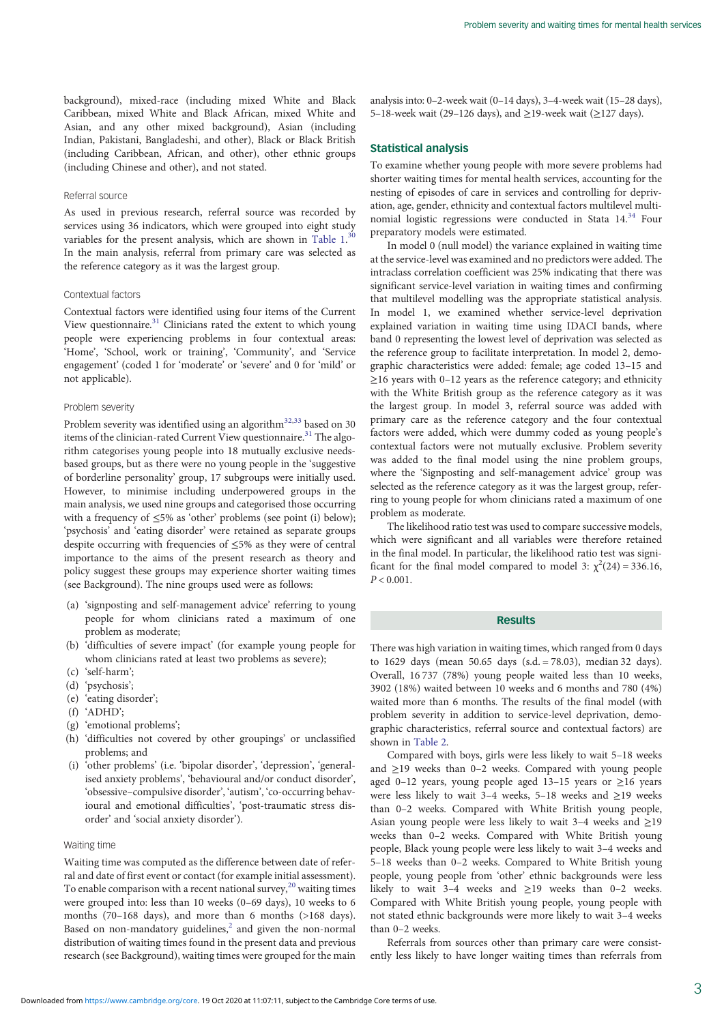background), mixed-race (including mixed White and Black Caribbean, mixed White and Black African, mixed White and Asian, and any other mixed background), Asian (including Indian, Pakistani, Bangladeshi, and other), Black or Black British (including Caribbean, African, and other), other ethnic groups (including Chinese and other), and not stated.

#### Referral source

As used in previous research, referral source was recorded by services using 36 indicators, which were grouped into eight study variables for the present analysis, which are shown in [Table 1](#page-1-0).<sup>[30](#page-6-0)</sup> In the main analysis, referral from primary care was selected as the reference category as it was the largest group.

# Contextual factors

Contextual factors were identified using four items of the Current View questionnaire.[31](#page-6-0) Clinicians rated the extent to which young people were experiencing problems in four contextual areas: 'Home', 'School, work or training', 'Community', and 'Service engagement' (coded 1 for 'moderate' or 'severe' and 0 for 'mild' or not applicable).

#### Problem severity

Problem severity was identified using an algorithm<sup>[32](#page-6-0),[33](#page-6-0)</sup> based on 30 items of the clinician-rated Current View questionnaire.<sup>[31](#page-6-0)</sup> The algorithm categorises young people into 18 mutually exclusive needsbased groups, but as there were no young people in the 'suggestive of borderline personality' group, 17 subgroups were initially used. However, to minimise including underpowered groups in the main analysis, we used nine groups and categorised those occurring with a frequency of ≤5% as 'other' problems (see point (i) below); 'psychosis' and 'eating disorder' were retained as separate groups despite occurring with frequencies of ≤5% as they were of central importance to the aims of the present research as theory and policy suggest these groups may experience shorter waiting times (see Background). The nine groups used were as follows:

- (a) 'signposting and self-management advice' referring to young people for whom clinicians rated a maximum of one problem as moderate;
- (b) 'difficulties of severe impact' (for example young people for whom clinicians rated at least two problems as severe);
- (c) 'self-harm';
- (d) 'psychosis';
- (e) 'eating disorder';
- (f) 'ADHD';
- (g) 'emotional problems';
- (h) 'difficulties not covered by other groupings' or unclassified problems; and
- (i) 'other problems' (i.e. 'bipolar disorder', 'depression', 'generalised anxiety problems', 'behavioural and/or conduct disorder', 'obsessive–compulsive disorder', 'autism', 'co-occurring behavioural and emotional difficulties', 'post-traumatic stress disorder' and 'social anxiety disorder').

# Waiting time

Waiting time was computed as the difference between date of referral and date of first event or contact (for example initial assessment). To enable comparison with a recent national survey, $20$  waiting times were grouped into: less than 10 weeks (0–69 days), 10 weeks to 6 months (70–168 days), and more than 6 months (>168 days). Based on non-mandatory guidelines, $<sup>2</sup>$  $<sup>2</sup>$  $<sup>2</sup>$  and given the non-normal</sup> distribution of waiting times found in the present data and previous research (see Background), waiting times were grouped for the main analysis into: 0–2-week wait (0–14 days), 3–4-week wait (15–28 days), 5–18-week wait (29–126 days), and ≥19-week wait (≥127 days).

#### Statistical analysis

To examine whether young people with more severe problems had shorter waiting times for mental health services, accounting for the nesting of episodes of care in services and controlling for deprivation, age, gender, ethnicity and contextual factors multilevel multinomial logistic regressions were conducted in Stata  $14^{34}$  $14^{34}$  $14^{34}$  Four preparatory models were estimated.

In model 0 (null model) the variance explained in waiting time at the service-level was examined and no predictors were added. The intraclass correlation coefficient was 25% indicating that there was significant service-level variation in waiting times and confirming that multilevel modelling was the appropriate statistical analysis. In model 1, we examined whether service-level deprivation explained variation in waiting time using IDACI bands, where band 0 representing the lowest level of deprivation was selected as the reference group to facilitate interpretation. In model 2, demographic characteristics were added: female; age coded 13–15 and  $\geq$ 16 years with 0–12 years as the reference category; and ethnicity with the White British group as the reference category as it was the largest group. In model 3, referral source was added with primary care as the reference category and the four contextual factors were added, which were dummy coded as young people's contextual factors were not mutually exclusive. Problem severity was added to the final model using the nine problem groups, where the 'Signposting and self-management advice' group was selected as the reference category as it was the largest group, referring to young people for whom clinicians rated a maximum of one problem as moderate.

The likelihood ratio test was used to compare successive models, which were significant and all variables were therefore retained in the final model. In particular, the likelihood ratio test was significant for the final model compared to model 3:  $\chi^2(24) = 336.16$ ,  $P < 0.001$ .

# Results

There was high variation in waiting times, which ranged from 0 days to 1629 days (mean 50.65 days (s.d.  $= 78.03$ ), median 32 days). Overall, 16 737 (78%) young people waited less than 10 weeks, 3902 (18%) waited between 10 weeks and 6 months and 780 (4%) waited more than 6 months. The results of the final model (with problem severity in addition to service-level deprivation, demographic characteristics, referral source and contextual factors) are shown in [Table 2](#page-3-0).

Compared with boys, girls were less likely to wait 5–18 weeks and ≥19 weeks than 0–2 weeks. Compared with young people aged 0–12 years, young people aged 13–15 years or ≥16 years were less likely to wait 3–4 weeks, 5–18 weeks and ≥19 weeks than 0–2 weeks. Compared with White British young people, Asian young people were less likely to wait 3–4 weeks and ≥19 weeks than 0–2 weeks. Compared with White British young people, Black young people were less likely to wait 3–4 weeks and 5–18 weeks than 0–2 weeks. Compared to White British young people, young people from 'other' ethnic backgrounds were less likely to wait 3–4 weeks and  $\geq$ 19 weeks than 0–2 weeks. Compared with White British young people, young people with not stated ethnic backgrounds were more likely to wait 3–4 weeks than 0–2 weeks.

Referrals from sources other than primary care were consistently less likely to have longer waiting times than referrals from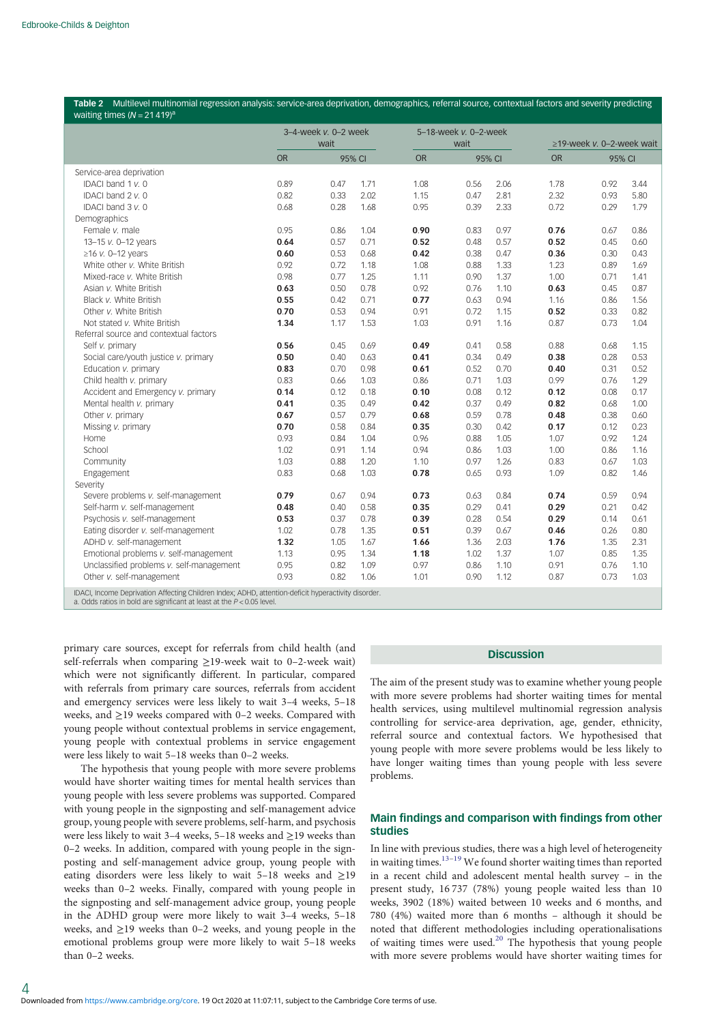<span id="page-3-0"></span>

|                                                                                                                                                                                 | $3-4$ -week v. $0-2$ week |      | 5-18-week v. 0-2-week |           |                                 |        |           |        |      |  |
|---------------------------------------------------------------------------------------------------------------------------------------------------------------------------------|---------------------------|------|-----------------------|-----------|---------------------------------|--------|-----------|--------|------|--|
|                                                                                                                                                                                 | wait                      |      | wait                  |           | $\geq$ 19-week v. 0-2-week wait |        |           |        |      |  |
|                                                                                                                                                                                 | <b>OR</b>                 |      | 95% CI                | <b>OR</b> |                                 | 95% CI | <b>OR</b> | 95% CI |      |  |
| Service-area deprivation                                                                                                                                                        |                           |      |                       |           |                                 |        |           |        |      |  |
| IDACI band 1 v. 0                                                                                                                                                               | 0.89                      | 0.47 | 1.71                  | 1.08      | 0.56                            | 2.06   | 1.78      | 0.92   | 3.44 |  |
| IDACI band 2 v. 0                                                                                                                                                               | 0.82                      | 0.33 | 2.02                  | 1.15      | 0.47                            | 2.81   | 2.32      | 0.93   | 5.80 |  |
| IDACI band 3 v. 0                                                                                                                                                               | 0.68                      | 0.28 | 1.68                  | 0.95      | 0.39                            | 2.33   | 0.72      | 0.29   | 1.79 |  |
| Demographics                                                                                                                                                                    |                           |      |                       |           |                                 |        |           |        |      |  |
| Female v. male                                                                                                                                                                  | 0.95                      | 0.86 | 1.04                  | 0.90      | 0.83                            | 0.97   | 0.76      | 0.67   | 0.86 |  |
| 13-15 v. 0-12 years                                                                                                                                                             | 0.64                      | 0.57 | 0.71                  | 0.52      | 0.48                            | 0.57   | 0.52      | 0.45   | 0.60 |  |
| $\geq$ 16 v. 0-12 years                                                                                                                                                         | 0.60                      | 0.53 | 0.68                  | 0.42      | 0.38                            | 0.47   | 0.36      | 0.30   | 0.43 |  |
| White other v. White British                                                                                                                                                    | 0.92                      | 0.72 | 1.18                  | 1.08      | 0.88                            | 1.33   | 1.23      | 0.89   | 1.69 |  |
| Mixed-race v. White British                                                                                                                                                     | 0.98                      | 0.77 | 1.25                  | 1.11      | 0.90                            | 1.37   | 1.00      | 0.71   | 1.41 |  |
| Asian v. White British                                                                                                                                                          | 0.63                      | 0.50 | 0.78                  | 0.92      | 0.76                            | 1.10   | 0.63      | 0.45   | 0.87 |  |
| Black v. White British                                                                                                                                                          | 0.55                      | 0.42 | 0.71                  | 0.77      | 0.63                            | 0.94   | 1.16      | 0.86   | 1.56 |  |
| Other v. White British                                                                                                                                                          | 0.70                      | 0.53 | 0.94                  | 0.91      | 0.72                            | 1.15   | 0.52      | 0.33   | 0.82 |  |
| Not stated v. White British                                                                                                                                                     | 1.34                      | 1.17 | 1.53                  | 1.03      | 0.91                            | 1.16   | 0.87      | 0.73   | 1.04 |  |
| Referral source and contextual factors                                                                                                                                          |                           |      |                       |           |                                 |        |           |        |      |  |
| Self v. primary                                                                                                                                                                 | 0.56                      | 0.45 | 0.69                  | 0.49      | 0.41                            | 0.58   | 0.88      | 0.68   | 1.15 |  |
| Social care/youth justice v. primary                                                                                                                                            | 0.50                      | 0.40 | 0.63                  | 0.41      | 0.34                            | 0.49   | 0.38      | 0.28   | 0.53 |  |
| Education v. primary                                                                                                                                                            | 0.83                      | 0.70 | 0.98                  | 0.61      | 0.52                            | 0.70   | 0.40      | 0.31   | 0.52 |  |
| Child health v. primary                                                                                                                                                         | 0.83                      | 0.66 | 1.03                  | 0.86      | 0.71                            | 1.03   | 0.99      | 0.76   | 1.29 |  |
| Accident and Emergency v. primary                                                                                                                                               | 0.14                      | 0.12 | 0.18                  | 0.10      | 0.08                            | 0.12   | 0.12      | 0.08   | 0.17 |  |
| Mental health v. primary                                                                                                                                                        | 0.41                      | 0.35 | 0.49                  | 0.42      | 0.37                            | 0.49   | 0.82      | 0.68   | 1.00 |  |
| Other v. primary                                                                                                                                                                | 0.67                      | 0.57 | 0.79                  | 0.68      | 0.59                            | 0.78   | 0.48      | 0.38   | 0.60 |  |
| Missing v. primary                                                                                                                                                              | 0.70                      | 0.58 | 0.84                  | 0.35      | 0.30                            | 0.42   | 0.17      | 0.12   | 0.23 |  |
| Home                                                                                                                                                                            | 0.93                      | 0.84 | 1.04                  | 0.96      | 0.88                            | 1.05   | 1.07      | 0.92   | 1.24 |  |
| School                                                                                                                                                                          | 1.02                      | 0.91 | 1.14                  | 0.94      | 0.86                            | 1.03   | 1.00      | 0.86   | 1.16 |  |
| Community                                                                                                                                                                       | 1.03                      | 0.88 | 1.20                  | 1.10      | 0.97                            | 1.26   | 0.83      | 0.67   | 1.03 |  |
| Engagement                                                                                                                                                                      | 0.83                      | 0.68 | 1.03                  | 0.78      | 0.65                            | 0.93   | 1.09      | 0.82   | 1.46 |  |
| Severity                                                                                                                                                                        |                           |      |                       |           |                                 |        |           |        |      |  |
| Severe problems v. self-management                                                                                                                                              | 0.79                      | 0.67 | 0.94                  | 0.73      | 0.63                            | 0.84   | 0.74      | 0.59   | 0.94 |  |
| Self-harm v. self-management                                                                                                                                                    | 0.48                      | 0.40 | 0.58                  | 0.35      | 0.29                            | 0.41   | 0.29      | 0.21   | 0.42 |  |
| Psychosis v. self-management                                                                                                                                                    | 0.53                      | 0.37 | 0.78                  | 0.39      | 0.28                            | 0.54   | 0.29      | 0.14   | 0.61 |  |
| Eating disorder v. self-management                                                                                                                                              | 1.02                      | 0.78 | 1.35                  | 0.51      | 0.39                            | 0.67   | 0.46      | 0.26   | 0.80 |  |
| ADHD v. self-management                                                                                                                                                         | 1.32                      | 1.05 | 1.67                  | 1.66      | 1.36                            | 2.03   | 1.76      | 1.35   | 2.31 |  |
| Emotional problems v. self-management                                                                                                                                           | 1.13                      | 0.95 | 1.34                  | 1.18      | 1.02                            | 1.37   | 1.07      | 0.85   | 1.35 |  |
| Unclassified problems v. self-management                                                                                                                                        | 0.95                      | 0.82 | 1.09                  | 0.97      | 0.86                            | 1.10   | 0.91      | 0.76   | 1.10 |  |
| Other v. self-management                                                                                                                                                        | 0.93                      | 0.82 | 1.06                  | 1.01      | 0.90                            | 1.12   | 0.87      | 0.73   | 1.03 |  |
| IDACI, Income Deprivation Affecting Children Index; ADHD, attention-deficit hyperactivity disorder.<br>a. Odds ratios in bold are significant at least at the $P < 0.05$ level. |                           |      |                       |           |                                 |        |           |        |      |  |

primary care sources, except for referrals from child health (and self-referrals when comparing ≥19-week wait to 0–2-week wait) which were not significantly different. In particular, compared with referrals from primary care sources, referrals from accident and emergency services were less likely to wait 3–4 weeks, 5–18 weeks, and ≥19 weeks compared with 0–2 weeks. Compared with young people without contextual problems in service engagement, young people with contextual problems in service engagement were less likely to wait 5–18 weeks than 0–2 weeks.

The hypothesis that young people with more severe problems would have shorter waiting times for mental health services than young people with less severe problems was supported. Compared with young people in the signposting and self-management advice group, young people with severe problems, self-harm, and psychosis were less likely to wait 3–4 weeks, 5–18 weeks and ≥19 weeks than 0–2 weeks. In addition, compared with young people in the signposting and self-management advice group, young people with eating disorders were less likely to wait 5–18 weeks and ≥19 weeks than 0–2 weeks. Finally, compared with young people in the signposting and self-management advice group, young people in the ADHD group were more likely to wait 3–4 weeks, 5–18 weeks, and ≥19 weeks than 0–2 weeks, and young people in the emotional problems group were more likely to wait 5–18 weeks than 0–2 weeks.

#### **Discussion**

The aim of the present study was to examine whether young people with more severe problems had shorter waiting times for mental health services, using multilevel multinomial regression analysis controlling for service-area deprivation, age, gender, ethnicity, referral source and contextual factors. We hypothesised that young people with more severe problems would be less likely to have longer waiting times than young people with less severe problems.

# Main findings and comparison with findings from other studies

In line with previous studies, there was a high level of heterogeneity in waiting times[.13](#page-5-0)–[19](#page-6-0) We found shorter waiting times than reported in a recent child and adolescent mental health survey – in the present study, 16 737 (78%) young people waited less than 10 weeks, 3902 (18%) waited between 10 weeks and 6 months, and 780 (4%) waited more than 6 months – although it should be noted that different methodologies including operationalisations of waiting times were used.<sup>[20](#page-6-0)</sup> The hypothesis that young people with more severe problems would have shorter waiting times for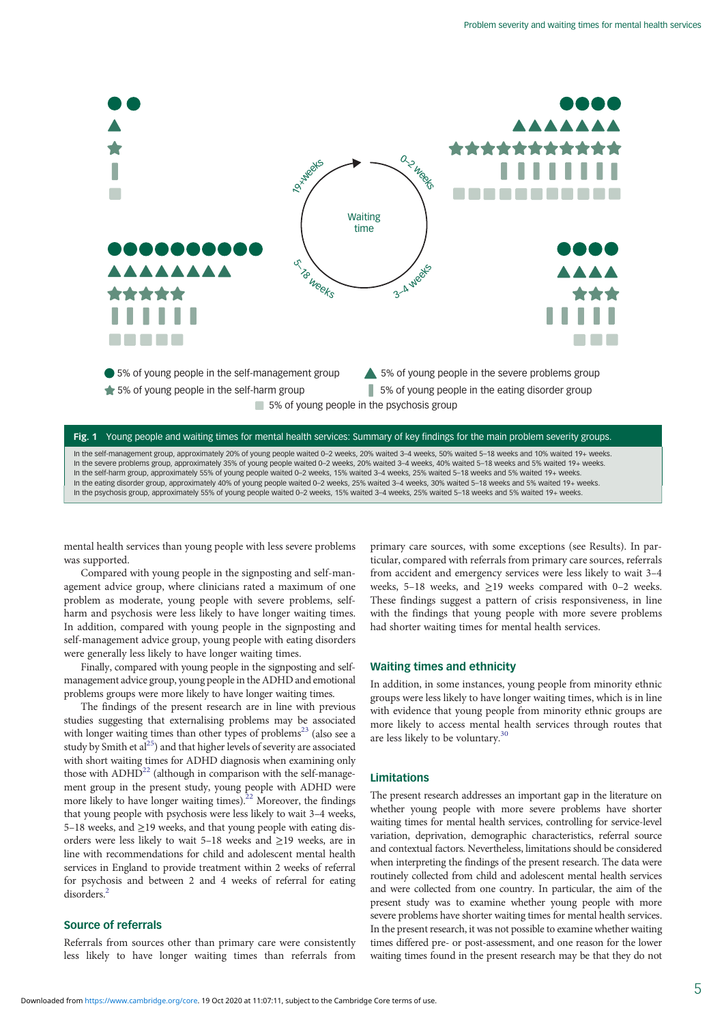

In the self-management group, approximately 20% of young people waited 0-2 weeks, 20% waited 3-4 weeks, 50% waited 5-18 weeks and 10% waited 19+ weeks In the severe problems group, approximately 35% of young people waited 0-2 weeks, 20% waited 3-4 weeks, 40% waited 5-18 weeks and 5% waited 19+ weeks. In the self-harm group, approximately 55% of young people waited 0–2 weeks, 15% waited 3–4 weeks, 25% waited 5–18 weeks and 5% waited 19+ weeks. In the eating disorder group, approximately 40% of young people waited 0–2 weeks, 25% waited 3–4 weeks, 30% waited 5–18 weeks and 5% waited 19+ weeks. In the psychosis group, approximately 55% of young people waited 0–2 weeks, 15% waited 3–4 weeks, 25% waited 5–18 weeks and 5% waited 19+ weeks.

mental health services than young people with less severe problems was supported.

Compared with young people in the signposting and self-management advice group, where clinicians rated a maximum of one problem as moderate, young people with severe problems, selfharm and psychosis were less likely to have longer waiting times. In addition, compared with young people in the signposting and self-management advice group, young people with eating disorders were generally less likely to have longer waiting times.

Finally, compared with young people in the signposting and selfmanagement advice group, young people in the ADHD and emotional problems groups were more likely to have longer waiting times.

The findings of the present research are in line with previous studies suggesting that externalising problems may be associated with longer waiting times than other types of problems<sup>[23](#page-6-0)</sup> (also see a study by Smith et al<sup>25</sup>) and that higher levels of severity are associated with short waiting times for ADHD diagnosis when examining only those with  $ADHD^{22}$  (although in comparison with the self-management group in the present study, young people with ADHD were more likely to have longer waiting times).<sup>[22](#page-6-0)</sup> Moreover, the findings that young people with psychosis were less likely to wait 3–4 weeks, 5–18 weeks, and ≥19 weeks, and that young people with eating disorders were less likely to wait 5–18 weeks and ≥19 weeks, are in line with recommendations for child and adolescent mental health services in England to provide treatment within 2 weeks of referral for psychosis and between 2 and 4 weeks of referral for eating disorders<sup>[2](#page-5-0)</sup>

# Source of referrals

Referrals from sources other than primary care were consistently less likely to have longer waiting times than referrals from primary care sources, with some exceptions (see Results). In particular, compared with referrals from primary care sources, referrals from accident and emergency services were less likely to wait 3–4 weeks, 5–18 weeks, and ≥19 weeks compared with 0–2 weeks. These findings suggest a pattern of crisis responsiveness, in line with the findings that young people with more severe problems had shorter waiting times for mental health services.

# Waiting times and ethnicity

In addition, in some instances, young people from minority ethnic groups were less likely to have longer waiting times, which is in line with evidence that young people from minority ethnic groups are more likely to access mental health services through routes that are less likely to be voluntary. $30$ 

# Limitations

The present research addresses an important gap in the literature on whether young people with more severe problems have shorter waiting times for mental health services, controlling for service-level variation, deprivation, demographic characteristics, referral source and contextual factors. Nevertheless, limitations should be considered when interpreting the findings of the present research. The data were routinely collected from child and adolescent mental health services and were collected from one country. In particular, the aim of the present study was to examine whether young people with more severe problems have shorter waiting times for mental health services. In the present research, it was not possible to examine whether waiting times differed pre- or post-assessment, and one reason for the lower waiting times found in the present research may be that they do not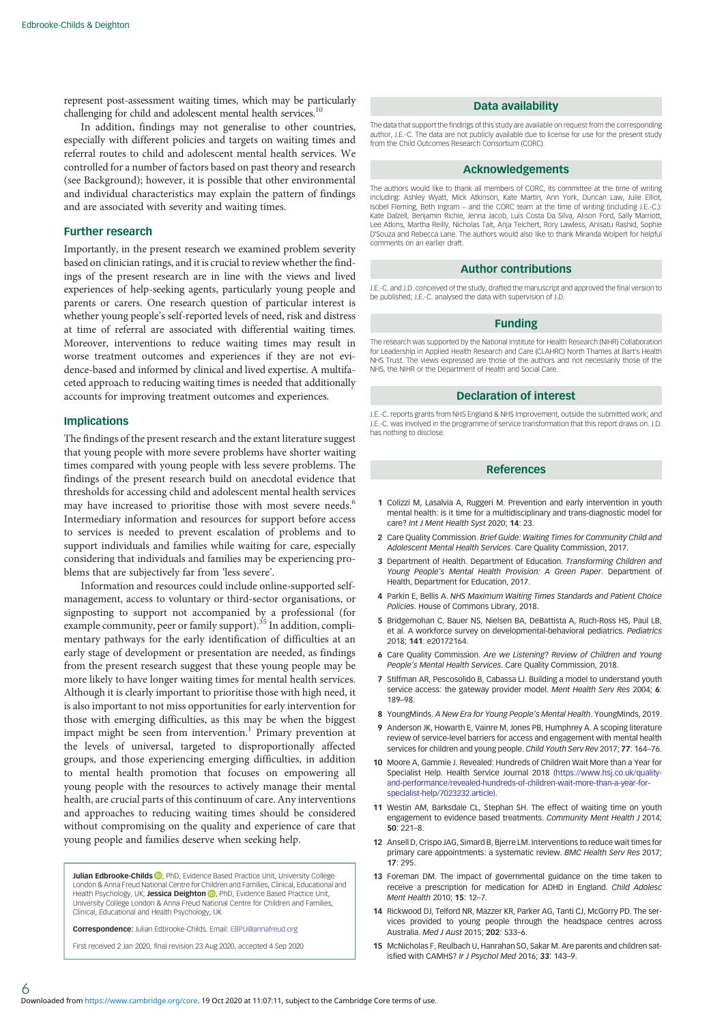<span id="page-5-0"></span>represent post-assessment waiting times, which may be particularly challenging for child and adolescent mental health services.<sup>10</sup>

In addition, findings may not generalise to other countries, especially with different policies and targets on waiting times and referral routes to child and adolescent mental health services. We controlled for a number of factors based on past theory and research (see Background); however, it is possible that other environmental and individual characteristics may explain the pattern of findings and are associated with severity and waiting times.

## Further research

Importantly, in the present research we examined problem severity based on clinician ratings, and it is crucial to review whether the findings of the present research are in line with the views and lived experiences of help-seeking agents, particularly young people and parents or carers. One research question of particular interest is whether young people's self-reported levels of need, risk and distress at time of referral are associated with differential waiting times. Moreover, interventions to reduce waiting times may result in worse treatment outcomes and experiences if they are not evidence-based and informed by clinical and lived expertise. A multifaceted approach to reducing waiting times is needed that additionally accounts for improving treatment outcomes and experiences.

## Implications

The findings of the present research and the extant literature suggest that young people with more severe problems have shorter waiting times compared with young people with less severe problems. The findings of the present research build on anecdotal evidence that thresholds for accessing child and adolescent mental health services may have increased to prioritise those with most severe needs.<sup>6</sup> Intermediary information and resources for support before access to services is needed to prevent escalation of problems and to support individuals and families while waiting for care, especially considering that individuals and families may be experiencing problems that are subjectively far from 'less severe'.

Information and resources could include online-supported selfmanagement, access to voluntary or third-sector organisations, or signposting to support not accompanied by a professional (for example community, peer or family support).<sup>[35](#page-6-0)</sup> In addition, complimentary pathways for the early identification of difficulties at an early stage of development or presentation are needed, as findings from the present research suggest that these young people may be more likely to have longer waiting times for mental health services. Although it is clearly important to prioritise those with high need, it is also important to not miss opportunities for early intervention for those with emerging difficulties, as this may be when the biggest impact might be seen from intervention.<sup>1</sup> Primary prevention at the levels of universal, targeted to disproportionally affected groups, and those experiencing emerging difficulties, in addition to mental health promotion that focuses on empowering all young people with the resources to actively manage their mental health, are crucial parts of this continuum of care. Any interventions and approaches to reducing waiting times should be considered without compromising on the quality and experience of care that young people and families deserve when seeking help.

**Julian Edbrooke-Childs D** PhD, Evidence Based Practice Unit, University College London & Anna Freud National Centre for Children and Families, Clinical, Educational and Health Psychology, UK; Jessica Deighton **D**, PhD, Evidence Based Practice Unit, University College London & Anna Freud National Centre for Children and Families, Clinical, Educational and Health Psychology, UK

Correspondence: Julian Edbrooke-Childs. Email: [EBPU@annafreud.org](mailto:EBPU@annafreud.org)

First received 2 Jan 2020, final revision 23 Aug 2020, accepted 4 Sep 2020

#### Data availability

The data that support the findings of this study are available on request from the corresponding author, J.E.-C. The data are not publicly available due to license for use for the present study from the Child Outcomes Research Consortium (CORC).

#### Acknowledgements

The authors would like to thank all members of CORC, its committee at the time of writing including: Ashley Wyatt, Mick Atkinson, Kate Martin, Ann York, Duncan Law, Julie Elliot, Isobel Fleming, Beth Ingram – and the CORC team at the time of writing (including J.E.-C.): Kate Dalzell, Benjamin Richie, Jenna Jacob, Luís Costa Da Silva, Alison Ford, Sally Marriott, Lee Atkins, Martha Reilly, Nicholas Tait, Anja Teichert, Rory Lawless, Anisatu Rashid, Sophie D'Souza and Rebecca Lane. The authors would also like to thank Miranda Wolpert for helpful comments on an earlier draft.

#### Author contributions

J.E.-C. and J.D. conceived of the study, drafted the manuscript and approved the final version to be published; J.E.-C. analysed the data with supervision of J.D.

#### Funding

The research was supported by the National Institute for Health Research (NIHR) Collaboration for Leadership in Applied Health Research and Care (CLAHRC) North Thames at Bart's Health NHS Trust. The views expressed are those of the authors and not necessarily those of the NHS, the NIHR or the Department of Health and Social Care.

#### Declaration of interest

J.E.-C. reports grants from NHS England & NHS Improvement, outside the submitted work; and J.E.-C. was involved in the programme of service transformation that this report draws on. J.D. has nothing to disclose.

# References

- 1 Colizzi M, Lasalvia A, Ruggeri M. Prevention and early intervention in youth mental health: is it time for a multidisciplinary and trans-diagnostic model for care? Int J Ment Health Syst 2020; 14: 23.
- 2 Care Quality Commission. Brief Guide: Waiting Times for Community Child and Adolescent Mental Health Services. Care Quality Commission, 2017.
- 3 Department of Health. Department of Education. Transforming Children and Young People's Mental Health Provision: A Green Paper. Department of Health, Department for Education, 2017.
- 4 Parkin E, Bellis A. NHS Maximum Waiting Times Standards and Patient Choice Policies. House of Commons Library, 2018.
- 5 Bridgemohan C, Bauer NS, Nielsen BA, DeBattista A, Ruch-Ross HS, Paul LB, et al. A workforce survey on developmental-behavioral pediatrics. Pediatrics 2018; 141: e20172164.
- 6 Care Quality Commission. Are we Listening? Review of Children and Young People's Mental Health Services. Care Quality Commission, 2018.
- 7 Stiffman AR, Pescosolido B, Cabassa LJ. Building a model to understand youth service access: the gateway provider model. Ment Health Serv Res 2004; 6: 189–98.
- 8 YoungMinds. A New Era for Young People's Mental Health. YoungMinds, 2019.
- 9 Anderson JK, Howarth E, Vainre M, Jones PB, Humphrey A. A scoping literature review of service-level barriers for access and engagement with mental health services for children and young people. Child Youth Serv Rev 2017; 77: 164–76.
- 10 Moore A, Gammie J. Revealed: Hundreds of Children Wait More than a Year for Specialist Help. Health Service Journal 2018 ([https://www.hsj.co.uk/quality](https://www.hsj.co.uk/quality-and-performance/revealed-hundreds-of-children-wait-more-than-a-year-for-specialist-help/7023232.article)[and-performance/revealed-hundreds-of-children-wait-more-than-a-year-for](https://www.hsj.co.uk/quality-and-performance/revealed-hundreds-of-children-wait-more-than-a-year-for-specialist-help/7023232.article)[specialist-help/7023232.article\)](https://www.hsj.co.uk/quality-and-performance/revealed-hundreds-of-children-wait-more-than-a-year-for-specialist-help/7023232.article).
- 11 Westin AM, Barksdale CL, Stephan SH. The effect of waiting time on youth engagement to evidence based treatments. Community Ment Health J 2014; 50: 221–8.
- 12 Ansell D, Crispo JAG, Simard B, Bjerre LM. Interventions to reduce wait times for primary care appointments: a systematic review. BMC Health Serv Res 2017; 17: 295.
- 13 Foreman DM. The impact of governmental guidance on the time taken to receive a prescription for medication for ADHD in England. Child Adolesc Ment Health 2010; 15: 12–7.
- 14 Rickwood DJ, Telford NR, Mazzer KR, Parker AG, Tanti CJ, McGorry PD. The services provided to young people through the headspace centres across Australia. Med J Aust 2015; 202: 533–6.
- 15 McNicholas F, Reulbach U, Hanrahan SO, Sakar M. Are parents and children satisfied with CAMHS? Ir J Psychol Med 2016; 33: 143–9.